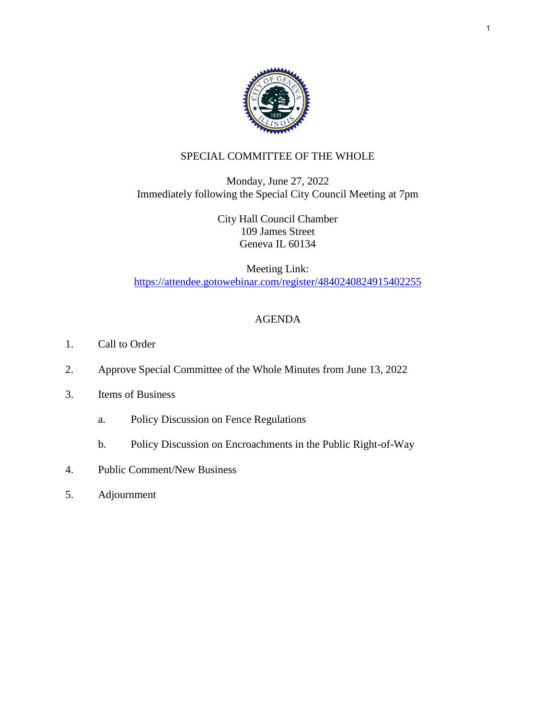

# SPECIAL COMMITTEE OF THE WHOLE

Monday, June 27, 2022 Immediately following the Special City Council Meeting at 7pm

> City Hall Council Chamber 109 James Street Geneva IL 60134

Meeting Link: <https://attendee.gotowebinar.com/register/4840240824915402255>

# AGENDA

- 1. Call to Order
- 2. Approve Special Committee of the Whole Minutes from June 13, 2022
- 3. Items of Business
	- a. Policy Discussion on Fence Regulations
	- b. Policy Discussion on Encroachments in the Public Right-of-Way
- 4. Public Comment/New Business
- 5. Adjournment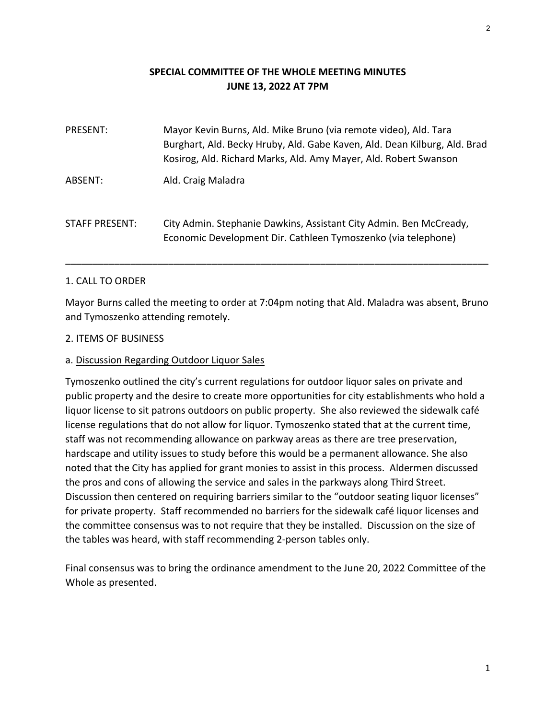## **SPECIAL COMMITTEE OF THE WHOLE MEETING MINUTES JUNE 13, 2022 AT 7PM**

| <b>PRESENT:</b> | Mayor Kevin Burns, Ald. Mike Bruno (via remote video), Ald. Tara<br>Burghart, Ald. Becky Hruby, Ald. Gabe Kaven, Ald. Dean Kilburg, Ald. Brad<br>Kosirog, Ald. Richard Marks, Ald. Amy Mayer, Ald. Robert Swanson |
|-----------------|-------------------------------------------------------------------------------------------------------------------------------------------------------------------------------------------------------------------|
| ABSENT:         | Ald. Craig Maladra                                                                                                                                                                                                |
| STAFF PRESENT:  | City Admin. Stephanie Dawkins, Assistant City Admin. Ben McCready,<br>Economic Development Dir. Cathleen Tymoszenko (via telephone)                                                                               |

### 1. CALL TO ORDER

Mayor Burns called the meeting to order at 7:04pm noting that Ald. Maladra was absent, Bruno and Tymoszenko attending remotely.

\_\_\_\_\_\_\_\_\_\_\_\_\_\_\_\_\_\_\_\_\_\_\_\_\_\_\_\_\_\_\_\_\_\_\_\_\_\_\_\_\_\_\_\_\_\_\_\_\_\_\_\_\_\_\_\_\_\_\_\_\_\_\_\_\_\_\_\_\_\_\_\_\_\_\_\_\_\_

#### 2. ITEMS OF BUSINESS

#### a. Discussion Regarding Outdoor Liquor Sales

Tymoszenko outlined the city's current regulations for outdoor liquor sales on private and public property and the desire to create more opportunities for city establishments who hold a liquor license to sit patrons outdoors on public property. She also reviewed the sidewalk café license regulations that do not allow for liquor. Tymoszenko stated that at the current time, staff was not recommending allowance on parkway areas as there are tree preservation, hardscape and utility issues to study before this would be a permanent allowance. She also noted that the City has applied for grant monies to assist in this process. Aldermen discussed the pros and cons of allowing the service and sales in the parkways along Third Street. Discussion then centered on requiring barriers similar to the "outdoor seating liquor licenses" for private property. Staff recommended no barriers for the sidewalk café liquor licenses and the committee consensus was to not require that they be installed. Discussion on the size of the tables was heard, with staff recommending 2‐person tables only.

Final consensus was to bring the ordinance amendment to the June 20, 2022 Committee of the Whole as presented.